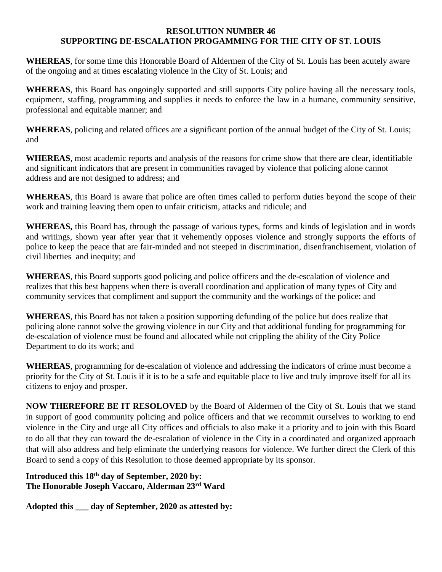## **RESOLUTION NUMBER 46 SUPPORTING DE-ESCALATION PROGAMMING FOR THE CITY OF ST. LOUIS**

**WHEREAS**, for some time this Honorable Board of Aldermen of the City of St. Louis has been acutely aware of the ongoing and at times escalating violence in the City of St. Louis; and

**WHEREAS**, this Board has ongoingly supported and still supports City police having all the necessary tools, equipment, staffing, programming and supplies it needs to enforce the law in a humane, community sensitive, professional and equitable manner; and

**WHEREAS**, policing and related offices are a significant portion of the annual budget of the City of St. Louis; and

**WHEREAS**, most academic reports and analysis of the reasons for crime show that there are clear, identifiable and significant indicators that are present in communities ravaged by violence that policing alone cannot address and are not designed to address; and

**WHEREAS**, this Board is aware that police are often times called to perform duties beyond the scope of their work and training leaving them open to unfair criticism, attacks and ridicule; and

**WHEREAS,** this Board has, through the passage of various types, forms and kinds of legislation and in words and writings, shown year after year that it vehemently opposes violence and strongly supports the efforts of police to keep the peace that are fair-minded and not steeped in discrimination, disenfranchisement, violation of civil liberties and inequity; and

**WHEREAS**, this Board supports good policing and police officers and the de-escalation of violence and realizes that this best happens when there is overall coordination and application of many types of City and community services that compliment and support the community and the workings of the police: and

**WHEREAS**, this Board has not taken a position supporting defunding of the police but does realize that policing alone cannot solve the growing violence in our City and that additional funding for programming for de-escalation of violence must be found and allocated while not crippling the ability of the City Police Department to do its work; and

**WHEREAS**, programming for de-escalation of violence and addressing the indicators of crime must become a priority for the City of St. Louis if it is to be a safe and equitable place to live and truly improve itself for all its citizens to enjoy and prosper.

**NOW THEREFORE BE IT RESOLOVED** by the Board of Aldermen of the City of St. Louis that we stand in support of good community policing and police officers and that we recommit ourselves to working to end violence in the City and urge all City offices and officials to also make it a priority and to join with this Board to do all that they can toward the de-escalation of violence in the City in a coordinated and organized approach that will also address and help eliminate the underlying reasons for violence. We further direct the Clerk of this Board to send a copy of this Resolution to those deemed appropriate by its sponsor.

## **Introduced this 18th day of September, 2020 by: The Honorable Joseph Vaccaro, Alderman 23rd Ward**

**Adopted this \_\_\_ day of September, 2020 as attested by:**